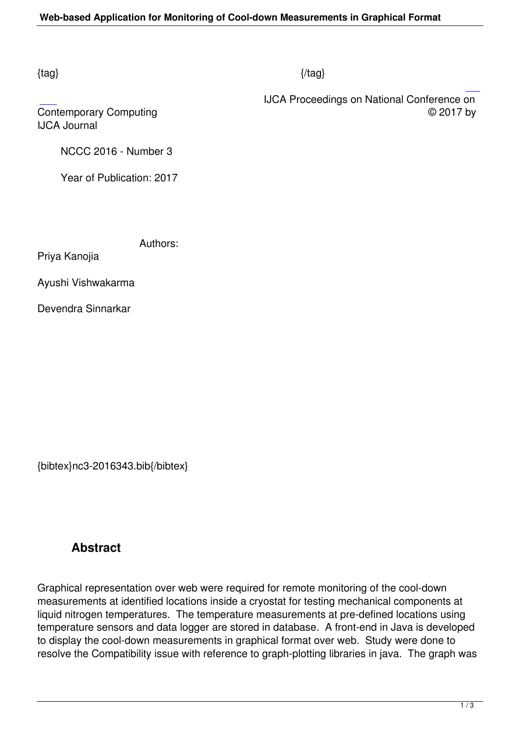#### $\{tag\}$

 IJCA Proceedings on National Conference on Contemporary Computing  $\heartsuit$  2017 by

IJCA Journal

NCCC 2016 - Number 3

Year of Publication: 2017

Authors:

Priya Kanojia

Ayushi Vishwakarma

Devendra Sinnarkar

{bibtex}nc3-2016343.bib{/bibtex}

## **Abstract**

Graphical representation over web were required for remote monitoring of the cool-down measurements at identified locations inside a cryostat for testing mechanical components at liquid nitrogen temperatures. The temperature measurements at pre-defined locations using temperature sensors and data logger are stored in database. A front-end in Java is developed to display the cool-down measurements in graphical format over web. Study were done to resolve the Compatibility issue with reference to graph-plotting libraries in java. The graph was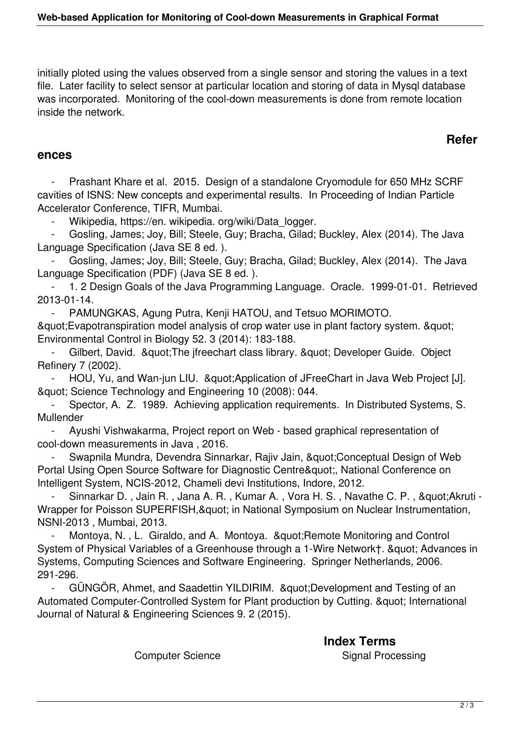initially ploted using the values observed from a single sensor and storing the values in a text file. Later facility to select sensor at particular location and storing of data in Mysql database was incorporated. Monitoring of the cool-down measurements is done from remote location inside the network.

## **Refer**

#### **ences**

Prashant Khare et al. 2015. Design of a standalone Cryomodule for 650 MHz SCRF cavities of ISNS: New concepts and experimental results. In Proceeding of Indian Particle Accelerator Conference, TIFR, Mumbai.

- Wikipedia, https://en. wikipedia. org/wiki/Data\_logger.

Gosling, James; Joy, Bill; Steele, Guy; Bracha, Gilad; Buckley, Alex (2014). The Java Language Specification (Java SE 8 ed. ).

Gosling, James; Joy, Bill; Steele, Guy; Bracha, Gilad; Buckley, Alex (2014). The Java Language Specification (PDF) (Java SE 8 ed. ).

1. 2 Design Goals of the Java Programming Language. Oracle. 1999-01-01. Retrieved 2013-01-14.

PAMUNGKAS, Agung Putra, Kenji HATOU, and Tetsuo MORIMOTO. & quot; Evapotranspiration model analysis of crop water use in plant factory system. & quot; Environmental Control in Biology 52. 3 (2014): 183-188.

Gilbert, David. & quot; The jfreechart class library. & quot; Developer Guide. Object Refinery 7 (2002).

HOU, Yu, and Wan-jun LIU. & auot: Application of JFreeChart in Java Web Project [J]. " Science Technology and Engineering 10 (2008): 044.

Spector, A. Z. 1989. Achieving application requirements. In Distributed Systems, S. Mullender

 - Ayushi Vishwakarma, Project report on Web - based graphical representation of cool-down measurements in Java , 2016.

Swapnila Mundra, Devendra Sinnarkar, Rajiv Jain, " Conceptual Design of Web Portal Using Open Source Software for Diagnostic Centre", National Conference on Intelligent System, NCIS-2012, Chameli devi Institutions, Indore, 2012.

Sinnarkar D., Jain R., Jana A. R., Kumar A., Vora H. S., Navathe C. P., & quot; Akruti -Wrapper for Poisson SUPERFISH, & quot; in National Symposium on Nuclear Instrumentation, NSNI-2013 , Mumbai, 2013.

Montoya, N., L. Giraldo, and A. Montoya. " Remote Monitoring and Control System of Physical Variables of a Greenhouse through a 1-Wire Networkt. & quot: Advances in Systems, Computing Sciences and Software Engineering. Springer Netherlands, 2006. 291-296.

GÜNGÖR, Ahmet, and Saadettin YILDIRIM. & quot; Development and Testing of an Automated Computer-Controlled System for Plant production by Cutting. & quot; International Journal of Natural & Engineering Sciences 9. 2 (2015).

 **Index Terms**  Computer Science **Signal Processing** Computer Science